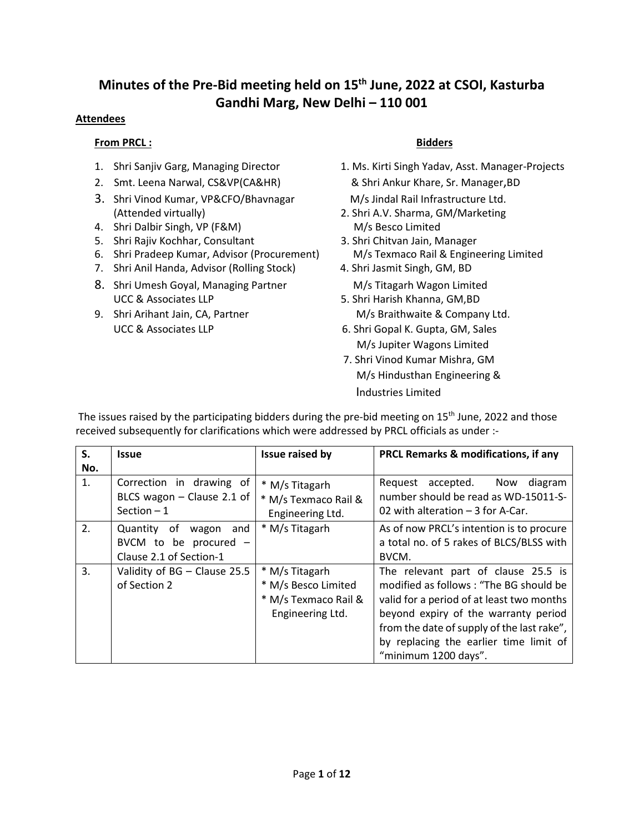## **Minutes of the Pre-Bid meeting held on 15th June, 2022 at CSOI, Kasturba Gandhi Marg, New Delhi – 110 001**

#### **Attendees**

#### **From PRCL :** Bidders **Bidders**

- 
- 2. Smt. Leena Narwal, CS&VP(CA&HR) & Shri Ankur Khare, Sr. Manager,BD
- 3. Shri Vinod Kumar, VP&CFO/Bhavnagar M/s Jindal Rail Infrastructure Ltd. (Attended virtually) 2. Shri A.V. Sharma, GM/Marketing
- 4. Shri Dalbir Singh, VP (F&M) M/s Besco Limited
- 5. Shri Rajiv Kochhar, Consultant 3. Shri Chitvan Jain, Manager
- 6. Shri Pradeep Kumar, Advisor (Procurement) M/s Texmaco Rail & Engineering Limited
- 7. Shri Anil Handa, Advisor (Rolling Stock) 4. Shri Jasmit Singh, GM, BD
- 8. Shri Umesh Goyal, Managing Partner M/s Titagarh Wagon Limited UCC & Associates LLP 5. Shri Harish Khanna, GM, BD
- 

- 1. Shri Sanjiv Garg, Managing Director 1. Ms. Kirti Singh Yadav, Asst. Manager-Projects
	-
	-
	-
- 9. Shri Arihant Jain, CA, Partner M/s Braithwaite & Company Ltd.
	- UCC & Associates LLP 6. Shri Gopal K. Gupta, GM, Sales M/s Jupiter Wagons Limited
		- 7. Shri Vinod Kumar Mishra, GM M/s Hindusthan Engineering & Industries Limited

| S.  | <b>Issue</b>                                                                      | Issue raised by                                                                   | <b>PRCL Remarks &amp; modifications, if any</b>                                                                                                                                                                                                                                    |  |  |
|-----|-----------------------------------------------------------------------------------|-----------------------------------------------------------------------------------|------------------------------------------------------------------------------------------------------------------------------------------------------------------------------------------------------------------------------------------------------------------------------------|--|--|
| No. |                                                                                   |                                                                                   |                                                                                                                                                                                                                                                                                    |  |  |
| 1.  | Correction in drawing of<br>BLCS wagon - Clause 2.1 of<br>Section $-1$            | * M/s Titagarh<br>* M/s Texmaco Rail &<br>Engineering Ltd.                        | Request<br>accepted.<br>Now<br>diagram<br>number should be read as WD-15011-S-<br>02 with alteration $-3$ for A-Car.                                                                                                                                                               |  |  |
| 2.  | and<br>Quantity of<br>wagon<br>BVCM to be procured $-$<br>Clause 2.1 of Section-1 | * M/s Titagarh                                                                    | As of now PRCL's intention is to procure<br>a total no. of 5 rakes of BLCS/BLSS with<br>BVCM.                                                                                                                                                                                      |  |  |
| 3.  | Validity of BG - Clause 25.5<br>of Section 2                                      | * M/s Titagarh<br>* M/s Besco Limited<br>* M/s Texmaco Rail &<br>Engineering Ltd. | The relevant part of clause 25.5 is<br>modified as follows: "The BG should be<br>valid for a period of at least two months<br>beyond expiry of the warranty period<br>from the date of supply of the last rake",<br>by replacing the earlier time limit of<br>"minimum 1200 days". |  |  |

The issues raised by the participating bidders during the pre-bid meeting on 15<sup>th</sup> June, 2022 and those received subsequently for clarifications which were addressed by PRCL officials as under :-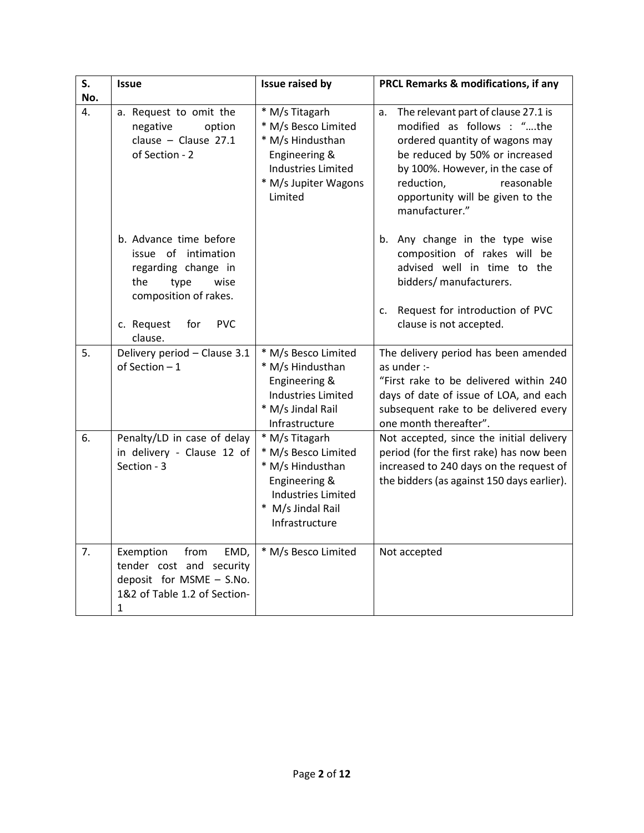| S.<br>No. | <b>Issue</b>                                                                                                                                                       | Issue raised by                                                                                                                                | PRCL Remarks & modifications, if any                                                                                                                                                                                                                              |  |
|-----------|--------------------------------------------------------------------------------------------------------------------------------------------------------------------|------------------------------------------------------------------------------------------------------------------------------------------------|-------------------------------------------------------------------------------------------------------------------------------------------------------------------------------------------------------------------------------------------------------------------|--|
| 4.        | a. Request to omit the<br>negative<br>option<br>clause - Clause $27.1$<br>of Section - 2                                                                           | * M/s Titagarh<br>* M/s Besco Limited<br>* M/s Hindusthan<br>Engineering &<br><b>Industries Limited</b><br>* M/s Jupiter Wagons<br>Limited     | The relevant part of clause 27.1 is<br>a.<br>modified as follows : "the<br>ordered quantity of wagons may<br>be reduced by 50% or increased<br>by 100%. However, in the case of<br>reduction,<br>reasonable<br>opportunity will be given to the<br>manufacturer." |  |
|           | b. Advance time before<br>issue of intimation<br>regarding change in<br>the<br>wise<br>type<br>composition of rakes.<br>c. Request<br>for<br><b>PVC</b><br>clause. |                                                                                                                                                | Any change in the type wise<br>b.<br>composition of rakes will be<br>advised well in time to the<br>bidders/ manufacturers.<br>c. Request for introduction of PVC<br>clause is not accepted.                                                                      |  |
| 5.        | Delivery period - Clause 3.1<br>of Section $-1$                                                                                                                    | * M/s Besco Limited<br>* M/s Hindusthan<br>Engineering &<br><b>Industries Limited</b><br>* M/s Jindal Rail<br>Infrastructure                   | The delivery period has been amended<br>as under :-<br>"First rake to be delivered within 240<br>days of date of issue of LOA, and each<br>subsequent rake to be delivered every<br>one month thereafter".                                                        |  |
| 6.        | Penalty/LD in case of delay<br>in delivery - Clause 12 of<br>Section - 3                                                                                           | * M/s Titagarh<br>* M/s Besco Limited<br>* M/s Hindusthan<br>Engineering &<br><b>Industries Limited</b><br>* M/s Jindal Rail<br>Infrastructure | Not accepted, since the initial delivery<br>period (for the first rake) has now been<br>increased to 240 days on the request of<br>the bidders (as against 150 days earlier).                                                                                     |  |
| 7.        | Exemption<br>from<br>EMD,<br>tender cost and security<br>deposit for MSME - S.No.<br>1&2 of Table 1.2 of Section-<br>$\mathbf{1}$                                  | * M/s Besco Limited                                                                                                                            | Not accepted                                                                                                                                                                                                                                                      |  |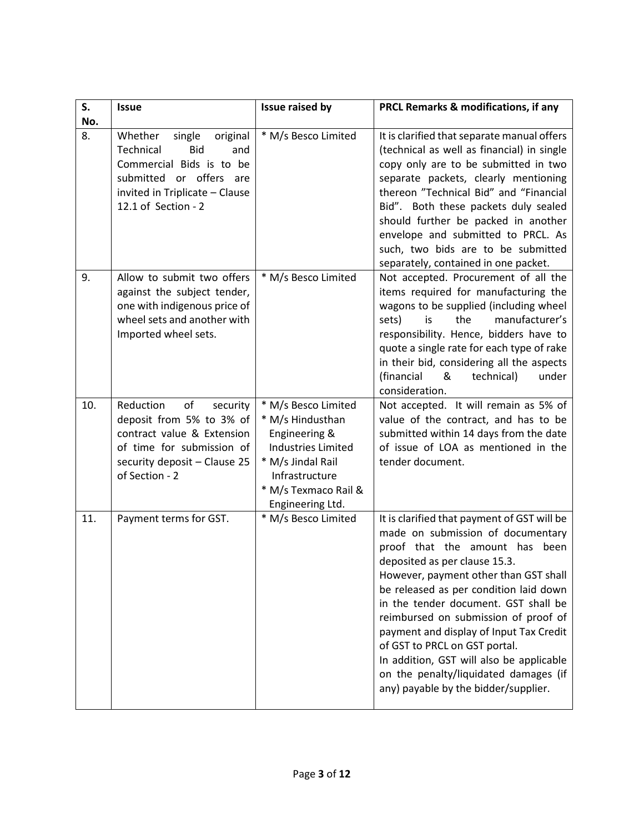| S.<br>No. | <b>Issue</b>                                                                                                                                                                    | Issue raised by                                                                                                                                                          | PRCL Remarks & modifications, if any                                                                                                                                                                                                                                                                                                                                                                                                                                                                                               |
|-----------|---------------------------------------------------------------------------------------------------------------------------------------------------------------------------------|--------------------------------------------------------------------------------------------------------------------------------------------------------------------------|------------------------------------------------------------------------------------------------------------------------------------------------------------------------------------------------------------------------------------------------------------------------------------------------------------------------------------------------------------------------------------------------------------------------------------------------------------------------------------------------------------------------------------|
| 8.        | Whether<br>single<br>original<br>Technical<br><b>Bid</b><br>and<br>Commercial Bids is to be<br>submitted or offers are<br>invited in Triplicate - Clause<br>12.1 of Section - 2 | * M/s Besco Limited                                                                                                                                                      | It is clarified that separate manual offers<br>(technical as well as financial) in single<br>copy only are to be submitted in two<br>separate packets, clearly mentioning<br>thereon "Technical Bid" and "Financial<br>Bid". Both these packets duly sealed<br>should further be packed in another<br>envelope and submitted to PRCL. As<br>such, two bids are to be submitted<br>separately, contained in one packet.                                                                                                             |
| 9.        | Allow to submit two offers<br>against the subject tender,<br>one with indigenous price of<br>wheel sets and another with<br>Imported wheel sets.                                | * M/s Besco Limited                                                                                                                                                      | Not accepted. Procurement of all the<br>items required for manufacturing the<br>wagons to be supplied (including wheel<br>manufacturer's<br>sets)<br>is<br>the<br>responsibility. Hence, bidders have to<br>quote a single rate for each type of rake<br>in their bid, considering all the aspects<br>(financial<br>&<br>technical)<br>under<br>consideration.                                                                                                                                                                     |
| 10.       | Reduction<br>of<br>security<br>deposit from 5% to 3% of<br>contract value & Extension<br>of time for submission of<br>security deposit - Clause 25<br>of Section - 2            | * M/s Besco Limited<br>* M/s Hindusthan<br>Engineering &<br><b>Industries Limited</b><br>* M/s Jindal Rail<br>Infrastructure<br>* M/s Texmaco Rail &<br>Engineering Ltd. | Not accepted. It will remain as 5% of<br>value of the contract, and has to be<br>submitted within 14 days from the date<br>of issue of LOA as mentioned in the<br>tender document.                                                                                                                                                                                                                                                                                                                                                 |
| 11.       | Payment terms for GST.                                                                                                                                                          | * M/s Besco Limited                                                                                                                                                      | It is clarified that payment of GST will be<br>made on submission of documentary<br>proof that the amount has<br>been<br>deposited as per clause 15.3.<br>However, payment other than GST shall<br>be released as per condition laid down<br>in the tender document. GST shall be<br>reimbursed on submission of proof of<br>payment and display of Input Tax Credit<br>of GST to PRCL on GST portal.<br>In addition, GST will also be applicable<br>on the penalty/liquidated damages (if<br>any) payable by the bidder/supplier. |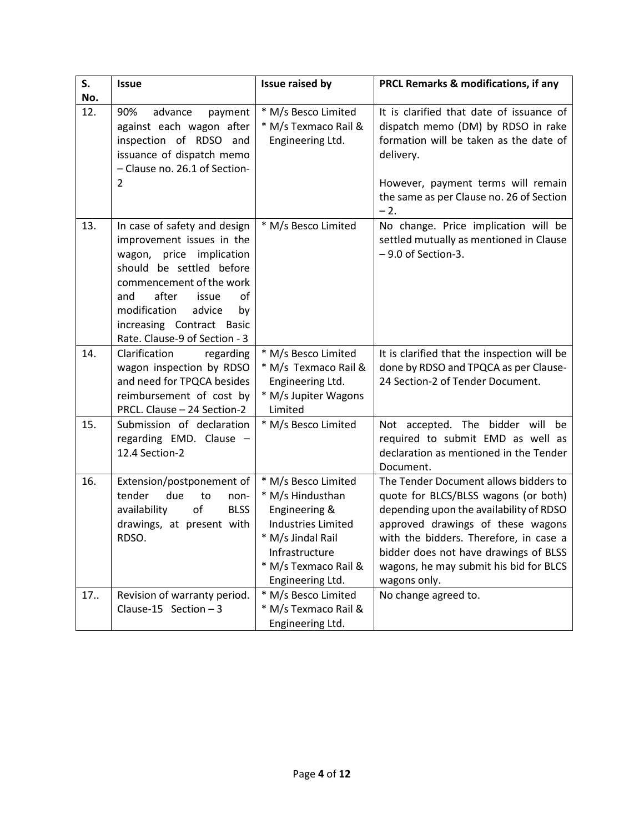| S.<br>No. | <b>Issue</b>                                                                                                                                                                                                                                                                  | Issue raised by                                                                                                                                                          | <b>PRCL Remarks &amp; modifications, if any</b>                                                                                                                                                                                                                                                            |  |
|-----------|-------------------------------------------------------------------------------------------------------------------------------------------------------------------------------------------------------------------------------------------------------------------------------|--------------------------------------------------------------------------------------------------------------------------------------------------------------------------|------------------------------------------------------------------------------------------------------------------------------------------------------------------------------------------------------------------------------------------------------------------------------------------------------------|--|
| 12.       | 90%<br>advance<br>payment<br>against each wagon after<br>inspection of RDSO and<br>issuance of dispatch memo<br>- Clause no. 26.1 of Section-<br>$\overline{2}$                                                                                                               | * M/s Besco Limited<br>* M/s Texmaco Rail &<br>Engineering Ltd.                                                                                                          | It is clarified that date of issuance of<br>dispatch memo (DM) by RDSO in rake<br>formation will be taken as the date of<br>delivery.<br>However, payment terms will remain<br>the same as per Clause no. 26 of Section<br>$-2.$                                                                           |  |
| 13.       | In case of safety and design<br>improvement issues in the<br>wagon, price<br>implication<br>should be settled before<br>commencement of the work<br>after<br>οf<br>issue<br>and<br>modification<br>advice<br>by<br>increasing Contract Basic<br>Rate. Clause-9 of Section - 3 | * M/s Besco Limited                                                                                                                                                      | No change. Price implication will be<br>settled mutually as mentioned in Clause<br>- 9.0 of Section-3.                                                                                                                                                                                                     |  |
| 14.       | Clarification<br>regarding<br>wagon inspection by RDSO<br>and need for TPQCA besides<br>reimbursement of cost by<br>PRCL. Clause - 24 Section-2                                                                                                                               | * M/s Besco Limited<br>* M/s Texmaco Rail &<br>Engineering Ltd.<br>* M/s Jupiter Wagons<br>Limited                                                                       | It is clarified that the inspection will be<br>done by RDSO and TPQCA as per Clause-<br>24 Section-2 of Tender Document.                                                                                                                                                                                   |  |
| 15.       | Submission of declaration<br>regarding EMD. Clause -<br>12.4 Section-2                                                                                                                                                                                                        | * M/s Besco Limited                                                                                                                                                      | Not accepted. The bidder will be<br>required to submit EMD as well as<br>declaration as mentioned in the Tender<br>Document.                                                                                                                                                                               |  |
| 16.       | Extension/postponement of<br>tender<br>due<br>to<br>non-<br>of<br><b>BLSS</b><br>availability<br>drawings, at present with<br>RDSO.                                                                                                                                           | * M/s Besco Limited<br>* M/s Hindusthan<br>Engineering &<br><b>Industries Limited</b><br>* M/s Jindal Rail<br>Infrastructure<br>* M/s Texmaco Rail &<br>Engineering Ltd. | The Tender Document allows bidders to<br>quote for BLCS/BLSS wagons (or both)<br>depending upon the availability of RDSO<br>approved drawings of these wagons<br>with the bidders. Therefore, in case a<br>bidder does not have drawings of BLSS<br>wagons, he may submit his bid for BLCS<br>wagons only. |  |
| 17.       | Revision of warranty period.<br>Clause-15 Section $-3$                                                                                                                                                                                                                        | * M/s Besco Limited<br>* M/s Texmaco Rail &<br>Engineering Ltd.                                                                                                          | No change agreed to.                                                                                                                                                                                                                                                                                       |  |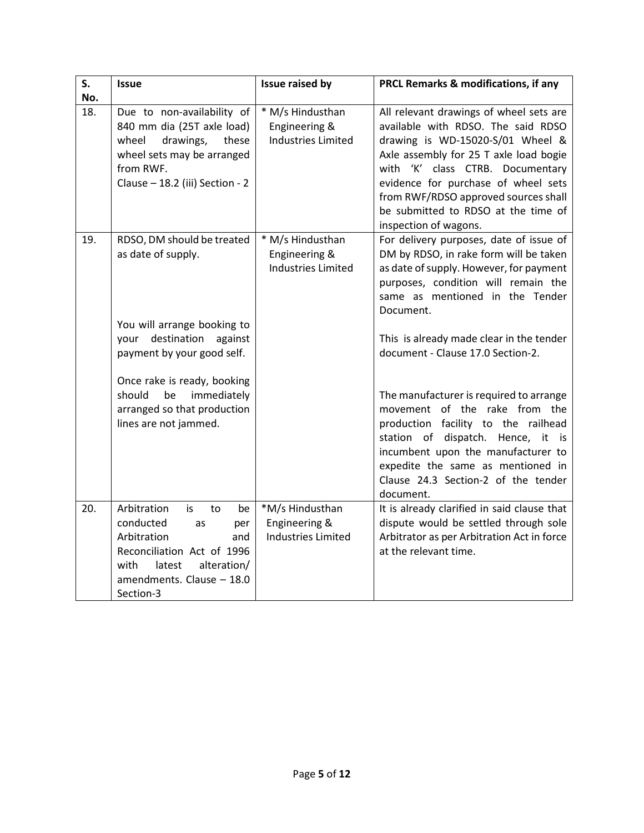| S.<br>No. | <b>Issue</b>                                                                                                                                                                           | <b>Issue raised by</b>                                         | PRCL Remarks & modifications, if any                                                                                                                                                                                                                                                                                                           |
|-----------|----------------------------------------------------------------------------------------------------------------------------------------------------------------------------------------|----------------------------------------------------------------|------------------------------------------------------------------------------------------------------------------------------------------------------------------------------------------------------------------------------------------------------------------------------------------------------------------------------------------------|
| 18.       | Due to non-availability of<br>840 mm dia (25T axle load)<br>wheel<br>drawings,<br>these<br>wheel sets may be arranged<br>from RWF.<br>Clause - 18.2 (iii) Section - 2                  | * M/s Hindusthan<br>Engineering &<br><b>Industries Limited</b> | All relevant drawings of wheel sets are<br>available with RDSO. The said RDSO<br>drawing is WD-15020-S/01 Wheel &<br>Axle assembly for 25 T axle load bogie<br>with 'K' class CTRB. Documentary<br>evidence for purchase of wheel sets<br>from RWF/RDSO approved sources shall<br>be submitted to RDSO at the time of<br>inspection of wagons. |
| 19.       | RDSO, DM should be treated<br>as date of supply.<br>You will arrange booking to                                                                                                        | * M/s Hindusthan<br>Engineering &<br><b>Industries Limited</b> | For delivery purposes, date of issue of<br>DM by RDSO, in rake form will be taken<br>as date of supply. However, for payment<br>purposes, condition will remain the<br>same as mentioned in the Tender<br>Document.                                                                                                                            |
|           | your destination<br>against<br>payment by your good self.<br>Once rake is ready, booking                                                                                               |                                                                | This is already made clear in the tender<br>document - Clause 17.0 Section-2.                                                                                                                                                                                                                                                                  |
|           | immediately<br>should<br>be<br>arranged so that production<br>lines are not jammed.                                                                                                    |                                                                | The manufacturer is required to arrange<br>movement of the rake from the<br>production facility to the railhead<br>station of dispatch. Hence, it<br>is is<br>incumbent upon the manufacturer to<br>expedite the same as mentioned in<br>Clause 24.3 Section-2 of the tender<br>document.                                                      |
| 20.       | Arbitration<br>is<br>to<br>be<br>conducted<br>per<br>as<br>Arbitration<br>and<br>Reconciliation Act of 1996<br>with<br>latest<br>alteration/<br>amendments. Clause - 18.0<br>Section-3 | *M/s Hindusthan<br>Engineering &<br><b>Industries Limited</b>  | It is already clarified in said clause that<br>dispute would be settled through sole<br>Arbitrator as per Arbitration Act in force<br>at the relevant time.                                                                                                                                                                                    |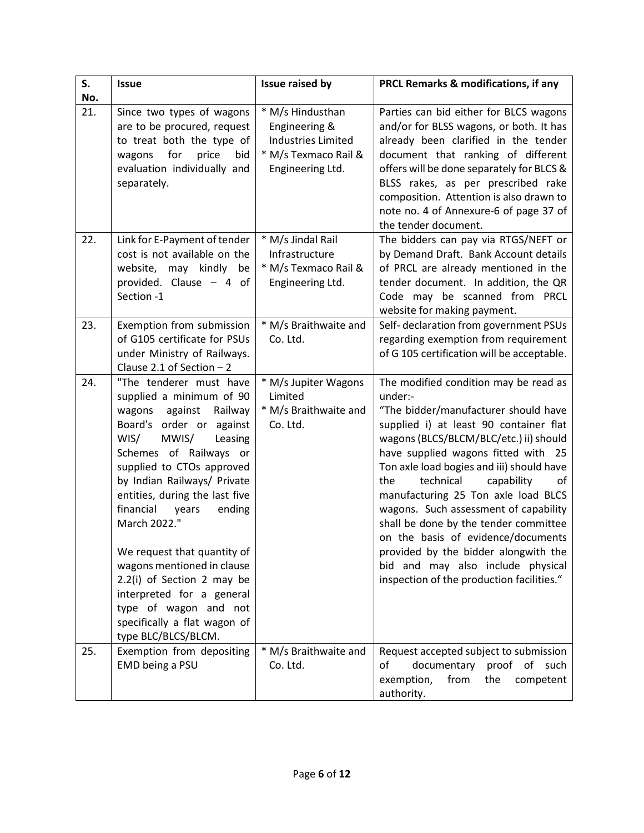| S.  | <b>Issue</b>                                                                                                                                                                                                                                                                                                                                                                                                                                                                                                                | Issue raised by                                                                                            | PRCL Remarks & modifications, if any                                                                                                                                                                                                                                                                                                                                                                                                                                                                                                                                                              |
|-----|-----------------------------------------------------------------------------------------------------------------------------------------------------------------------------------------------------------------------------------------------------------------------------------------------------------------------------------------------------------------------------------------------------------------------------------------------------------------------------------------------------------------------------|------------------------------------------------------------------------------------------------------------|---------------------------------------------------------------------------------------------------------------------------------------------------------------------------------------------------------------------------------------------------------------------------------------------------------------------------------------------------------------------------------------------------------------------------------------------------------------------------------------------------------------------------------------------------------------------------------------------------|
| No. |                                                                                                                                                                                                                                                                                                                                                                                                                                                                                                                             |                                                                                                            |                                                                                                                                                                                                                                                                                                                                                                                                                                                                                                                                                                                                   |
| 21. | Since two types of wagons<br>are to be procured, request<br>to treat both the type of<br>for<br>price<br>wagons<br>bid<br>evaluation individually and<br>separately.                                                                                                                                                                                                                                                                                                                                                        | * M/s Hindusthan<br>Engineering &<br><b>Industries Limited</b><br>* M/s Texmaco Rail &<br>Engineering Ltd. | Parties can bid either for BLCS wagons<br>and/or for BLSS wagons, or both. It has<br>already been clarified in the tender<br>document that ranking of different<br>offers will be done separately for BLCS &<br>BLSS rakes, as per prescribed rake<br>composition. Attention is also drawn to<br>note no. 4 of Annexure-6 of page 37 of<br>the tender document.                                                                                                                                                                                                                                   |
| 22. | Link for E-Payment of tender<br>cost is not available on the<br>website, may kindly<br>be<br>provided. Clause $-4$ of<br>Section -1                                                                                                                                                                                                                                                                                                                                                                                         | * M/s Jindal Rail<br>Infrastructure<br>* M/s Texmaco Rail &<br>Engineering Ltd.                            | The bidders can pay via RTGS/NEFT or<br>by Demand Draft. Bank Account details<br>of PRCL are already mentioned in the<br>tender document. In addition, the QR<br>Code may be scanned from PRCL<br>website for making payment.                                                                                                                                                                                                                                                                                                                                                                     |
| 23. | Exemption from submission<br>of G105 certificate for PSUs<br>under Ministry of Railways.<br>Clause 2.1 of Section $-2$                                                                                                                                                                                                                                                                                                                                                                                                      | * M/s Braithwaite and<br>Co. Ltd.                                                                          | Self- declaration from government PSUs<br>regarding exemption from requirement<br>of G 105 certification will be acceptable.                                                                                                                                                                                                                                                                                                                                                                                                                                                                      |
| 24. | "The tenderer must have<br>supplied a minimum of 90<br>against<br>wagons<br>Railway<br>Board's order or against<br>WIS/<br>MWIS/<br>Leasing<br>Schemes of Railways or<br>supplied to CTOs approved<br>by Indian Railways/ Private<br>entities, during the last five<br>financial<br>years<br>ending<br>March 2022."<br>We request that quantity of<br>wagons mentioned in clause<br>2.2(i) of Section 2 may be<br>interpreted for a general<br>type of wagon and not<br>specifically a flat wagon of<br>type BLC/BLCS/BLCM. | * M/s Jupiter Wagons<br>Limited<br>* M/s Braithwaite and<br>Co. Ltd.                                       | The modified condition may be read as<br>under:-<br>"The bidder/manufacturer should have<br>supplied i) at least 90 container flat<br>wagons (BLCS/BLCM/BLC/etc.) ii) should<br>have supplied wagons fitted with 25<br>Ton axle load bogies and iii) should have<br>the<br>capability<br>technical<br>of<br>manufacturing 25 Ton axle load BLCS<br>wagons. Such assessment of capability<br>shall be done by the tender committee<br>on the basis of evidence/documents<br>provided by the bidder alongwith the<br>bid and may also include physical<br>inspection of the production facilities." |
| 25. | Exemption from depositing<br>EMD being a PSU                                                                                                                                                                                                                                                                                                                                                                                                                                                                                | * M/s Braithwaite and<br>Co. Ltd.                                                                          | Request accepted subject to submission<br>documentary proof of such<br>оf<br>from<br>the<br>exemption,<br>competent<br>authority.                                                                                                                                                                                                                                                                                                                                                                                                                                                                 |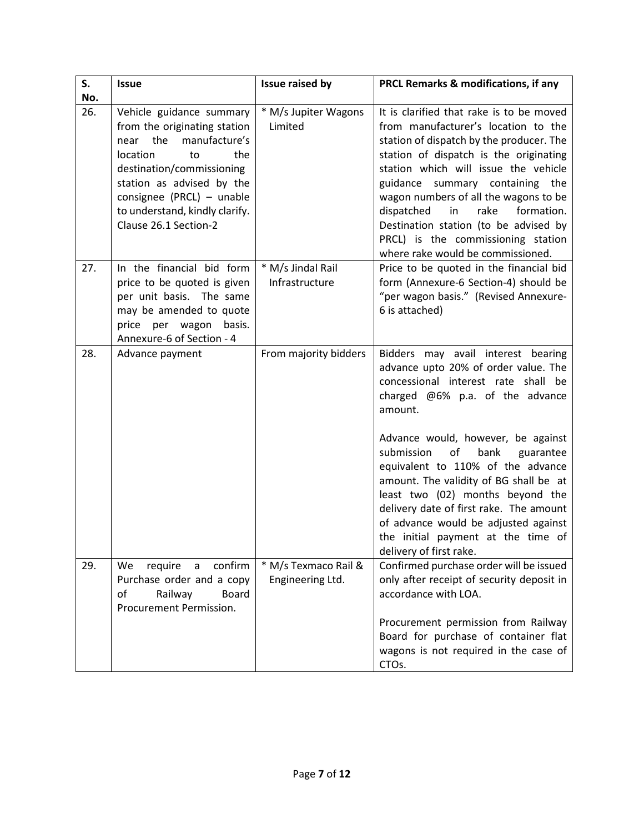| S.         | <b>Issue</b>                                                 | Issue raised by       | <b>PRCL Remarks &amp; modifications, if any</b>                                 |
|------------|--------------------------------------------------------------|-----------------------|---------------------------------------------------------------------------------|
| No.<br>26. | Vehicle guidance summary                                     | * M/s Jupiter Wagons  | It is clarified that rake is to be moved                                        |
|            | from the originating station<br>the<br>manufacture's<br>near | Limited               | from manufacturer's location to the<br>station of dispatch by the producer. The |
|            | location<br>the<br>to                                        |                       | station of dispatch is the originating                                          |
|            | destination/commissioning<br>station as advised by the       |                       | station which will issue the vehicle<br>guidance summary containing the         |
|            | consignee (PRCL) - unable                                    |                       | wagon numbers of all the wagons to be                                           |
|            | to understand, kindly clarify.                               |                       | dispatched<br>in<br>rake<br>formation.                                          |
|            | Clause 26.1 Section-2                                        |                       | Destination station (to be advised by<br>PRCL) is the commissioning station     |
|            |                                                              |                       | where rake would be commissioned.                                               |
| 27.        | In the financial bid form                                    | * M/s Jindal Rail     | Price to be quoted in the financial bid                                         |
|            | price to be quoted is given<br>per unit basis. The same      | Infrastructure        | form (Annexure-6 Section-4) should be<br>"per wagon basis." (Revised Annexure-  |
|            | may be amended to quote                                      |                       | 6 is attached)                                                                  |
|            | price per wagon<br>basis.                                    |                       |                                                                                 |
|            | Annexure-6 of Section - 4                                    |                       |                                                                                 |
| 28.        | Advance payment                                              | From majority bidders | Bidders may avail interest bearing<br>advance upto 20% of order value. The      |
|            |                                                              |                       | concessional interest rate shall be                                             |
|            |                                                              |                       | charged $@6\%$ p.a. of the advance<br>amount.                                   |
|            |                                                              |                       |                                                                                 |
|            |                                                              |                       | Advance would, however, be against                                              |
|            |                                                              |                       | of<br>submission<br>bank<br>guarantee                                           |
|            |                                                              |                       | equivalent to 110% of the advance<br>amount. The validity of BG shall be at     |
|            |                                                              |                       | least two (02) months beyond the                                                |
|            |                                                              |                       | delivery date of first rake. The amount                                         |
|            |                                                              |                       | of advance would be adjusted against<br>the initial payment at the time of      |
|            |                                                              |                       | delivery of first rake.                                                         |
| 29.        | We<br>require<br>confirm<br>a                                | * M/s Texmaco Rail &  | Confirmed purchase order will be issued                                         |
|            | Purchase order and a copy<br>Railway<br><b>Board</b><br>of   | Engineering Ltd.      | only after receipt of security deposit in<br>accordance with LOA.               |
|            | Procurement Permission.                                      |                       |                                                                                 |
|            |                                                              |                       | Procurement permission from Railway                                             |
|            |                                                              |                       | Board for purchase of container flat<br>wagons is not required in the case of   |
|            |                                                              |                       | CTO <sub>s</sub> .                                                              |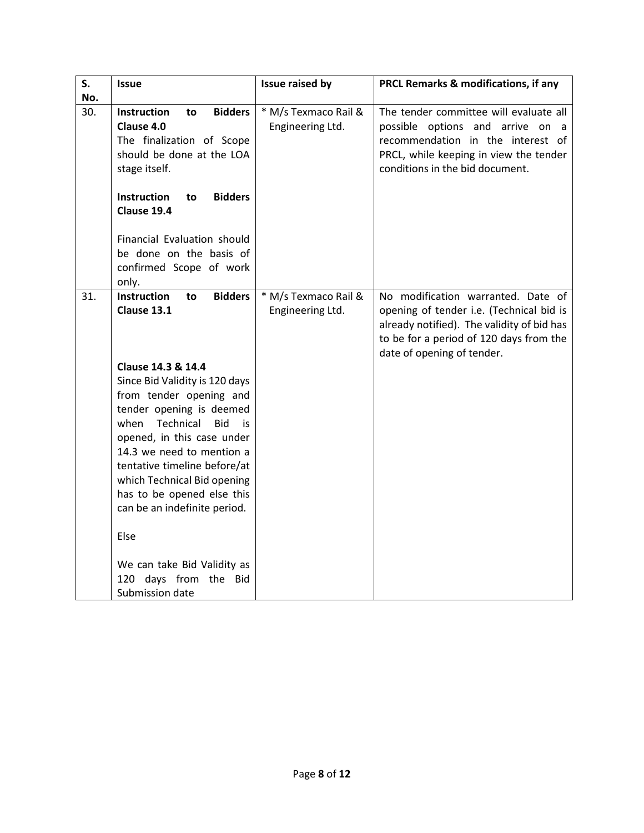| S.         | <b>Issue</b>                                                         | Issue raised by      | PRCL Remarks & modifications, if any                                                   |
|------------|----------------------------------------------------------------------|----------------------|----------------------------------------------------------------------------------------|
| No.<br>30. | Instruction<br><b>Bidders</b><br>to                                  | * M/s Texmaco Rail & | The tender committee will evaluate all                                                 |
|            | Clause 4.0                                                           | Engineering Ltd.     | possible options and arrive on a                                                       |
|            | The finalization of Scope                                            |                      | recommendation in the interest of                                                      |
|            | should be done at the LOA                                            |                      | PRCL, while keeping in view the tender                                                 |
|            | stage itself.                                                        |                      | conditions in the bid document.                                                        |
|            | <b>Instruction</b><br><b>Bidders</b><br>to                           |                      |                                                                                        |
|            | Clause 19.4                                                          |                      |                                                                                        |
|            | Financial Evaluation should                                          |                      |                                                                                        |
|            | be done on the basis of                                              |                      |                                                                                        |
|            | confirmed Scope of work                                              |                      |                                                                                        |
|            | only.                                                                |                      |                                                                                        |
| 31.        | Instruction<br><b>Bidders</b><br>to<br>Clause 13.1                   | * M/s Texmaco Rail & | No modification warranted. Date of                                                     |
|            |                                                                      | Engineering Ltd.     | opening of tender i.e. (Technical bid is<br>already notified). The validity of bid has |
|            |                                                                      |                      | to be for a period of 120 days from the                                                |
|            |                                                                      |                      | date of opening of tender.                                                             |
|            | Clause 14.3 & 14.4                                                   |                      |                                                                                        |
|            | Since Bid Validity is 120 days                                       |                      |                                                                                        |
|            | from tender opening and                                              |                      |                                                                                        |
|            | tender opening is deemed                                             |                      |                                                                                        |
|            | Technical<br>when<br><b>Bid</b><br>is.<br>opened, in this case under |                      |                                                                                        |
|            | 14.3 we need to mention a                                            |                      |                                                                                        |
|            | tentative timeline before/at                                         |                      |                                                                                        |
|            | which Technical Bid opening                                          |                      |                                                                                        |
|            | has to be opened else this                                           |                      |                                                                                        |
|            | can be an indefinite period.                                         |                      |                                                                                        |
|            | Else                                                                 |                      |                                                                                        |
|            | We can take Bid Validity as                                          |                      |                                                                                        |
|            | 120 days from the Bid                                                |                      |                                                                                        |
|            | Submission date                                                      |                      |                                                                                        |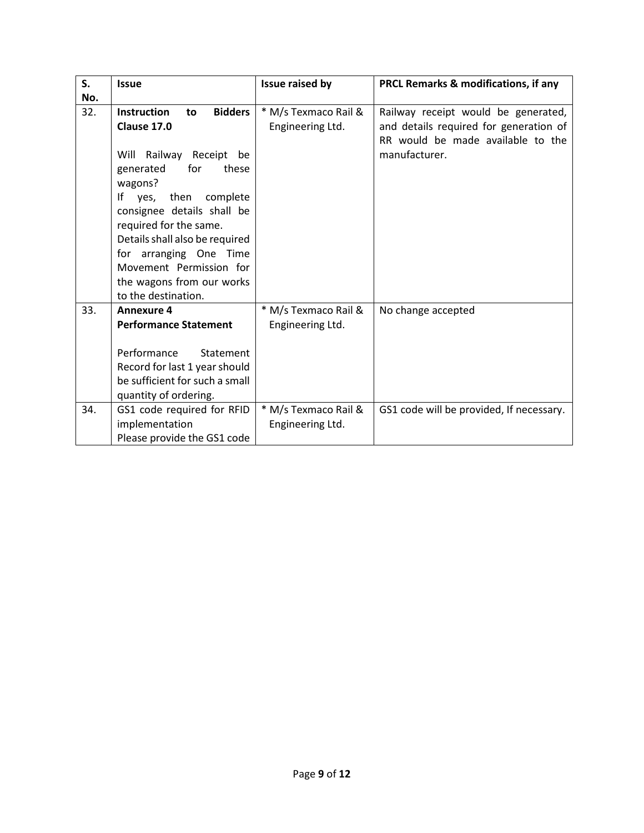| S.  | <b>Issue</b>                                                                                                                                                                                                                                                                                                                                                | Issue raised by                          | PRCL Remarks & modifications, if any                                                                                                |  |
|-----|-------------------------------------------------------------------------------------------------------------------------------------------------------------------------------------------------------------------------------------------------------------------------------------------------------------------------------------------------------------|------------------------------------------|-------------------------------------------------------------------------------------------------------------------------------------|--|
| No. |                                                                                                                                                                                                                                                                                                                                                             |                                          |                                                                                                                                     |  |
| 32. | <b>Instruction</b><br><b>Bidders</b><br>to<br>Clause 17.0<br>Will Railway Receipt be<br>for<br>generated<br>these<br>wagons?<br>yes, then complete<br>Ιf<br>consignee details shall be<br>required for the same.<br>Details shall also be required<br>for arranging One Time<br>Movement Permission for<br>the wagons from our works<br>to the destination. | * M/s Texmaco Rail &<br>Engineering Ltd. | Railway receipt would be generated,<br>and details required for generation of<br>RR would be made available to the<br>manufacturer. |  |
| 33. | <b>Annexure 4</b>                                                                                                                                                                                                                                                                                                                                           | * M/s Texmaco Rail &                     | No change accepted                                                                                                                  |  |
|     | <b>Performance Statement</b>                                                                                                                                                                                                                                                                                                                                | Engineering Ltd.                         |                                                                                                                                     |  |
|     | Performance<br>Statement<br>Record for last 1 year should<br>be sufficient for such a small<br>quantity of ordering.                                                                                                                                                                                                                                        |                                          |                                                                                                                                     |  |
| 34. | GS1 code required for RFID<br>implementation<br>Please provide the GS1 code                                                                                                                                                                                                                                                                                 | * M/s Texmaco Rail &<br>Engineering Ltd. | GS1 code will be provided, If necessary.                                                                                            |  |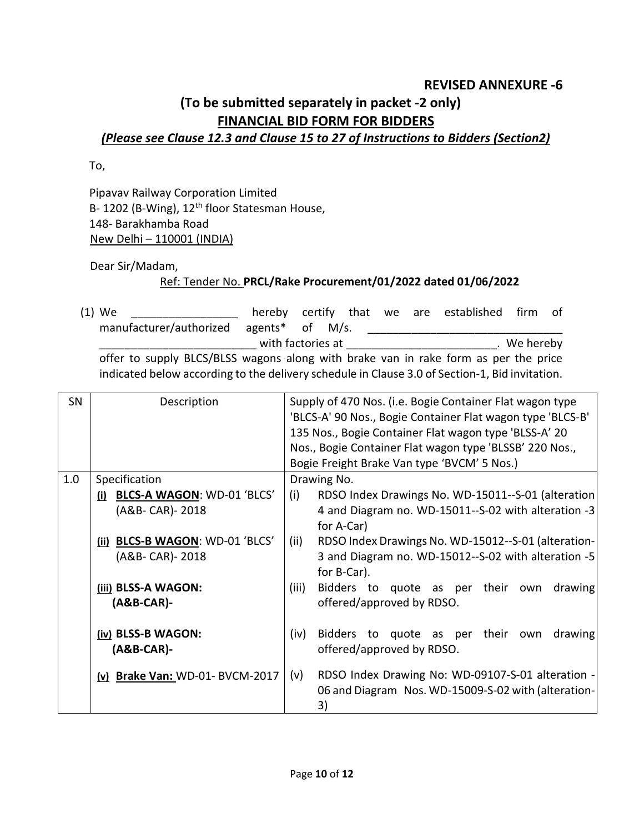#### **REVISED ANNEXURE -6**

# **(To be submitted separately in packet -2 only) FINANCIAL BID FORM FOR BIDDERS**

### *(Please see Clause 12.3 and Clause 15 to 27 of Instructions to Bidders (Section2)*

To,

Pipavav Railway Corporation Limited B- 1202 (B-Wing), 12<sup>th</sup> floor Statesman House, 148- Barakhamba Road New Delhi – 110001 (INDIA)

Dear Sir/Madam,

#### Ref: Tender No. **PRCL/Rake Procurement/01/2022 dated 01/06/2022**

(1) We are the by certify that we are established firm of manufacturer/authorized agents\* of M/s. \_\_\_\_\_\_\_\_\_\_\_\_\_\_\_\_\_\_\_\_\_\_\_\_\_\_\_\_\_\_\_ \_\_\_ with factories at \_\_\_\_\_\_\_\_\_\_\_\_\_\_\_\_\_\_\_\_\_\_\_\_\_\_\_\_\_. We hereby offer to supply BLCS/BLSS wagons along with brake van in rake form as per the price indicated below according to the delivery schedule in Clause 3.0 of Section-1, Bid invitation.

| SN  | Description                                                         | Supply of 470 Nos. (i.e. Bogie Container Flat wagon type<br>'BLCS-A' 90 Nos., Bogie Container Flat wagon type 'BLCS-B'<br>135 Nos., Bogie Container Flat wagon type 'BLSS-A' 20<br>Nos., Bogie Container Flat wagon type 'BLSSB' 220 Nos.,<br>Bogie Freight Brake Van type 'BVCM' 5 Nos.) |                                                                                                                |  |
|-----|---------------------------------------------------------------------|-------------------------------------------------------------------------------------------------------------------------------------------------------------------------------------------------------------------------------------------------------------------------------------------|----------------------------------------------------------------------------------------------------------------|--|
| 1.0 | Specification<br>(i) BLCS-A WAGON: WD-01 'BLCS'<br>(A&B- CAR)- 2018 | Drawing No.<br>RDSO Index Drawings No. WD-15011--S-01 (alteration<br>(i)<br>4 and Diagram no. WD-15011--S-02 with alteration -3<br>for A-Car)<br>RDSO Index Drawings No. WD-15012--S-01 (alteration-<br>(ii)<br>3 and Diagram no. WD-15012--S-02 with alteration -5<br>for B-Car).        |                                                                                                                |  |
|     | (ii) BLCS-B WAGON: WD-01 'BLCS'<br>(A&B- CAR)- 2018                 |                                                                                                                                                                                                                                                                                           |                                                                                                                |  |
|     | (iii) BLSS-A WAGON:<br>$(AB-CAR)$ -                                 | (iii)<br>Bidders to quote as per their own<br>drawing<br>offered/approved by RDSO.                                                                                                                                                                                                        |                                                                                                                |  |
|     | (iv) BLSS-B WAGON:<br>$(AB-CAR)$ -                                  | Bidders to quote as per their own<br>drawing<br>(iv)<br>offered/approved by RDSO.                                                                                                                                                                                                         |                                                                                                                |  |
|     | (v) Brake Van: WD-01- BVCM-2017                                     | (v)                                                                                                                                                                                                                                                                                       | RDSO Index Drawing No: WD-09107-S-01 alteration -<br>06 and Diagram Nos. WD-15009-S-02 with (alteration-<br>3) |  |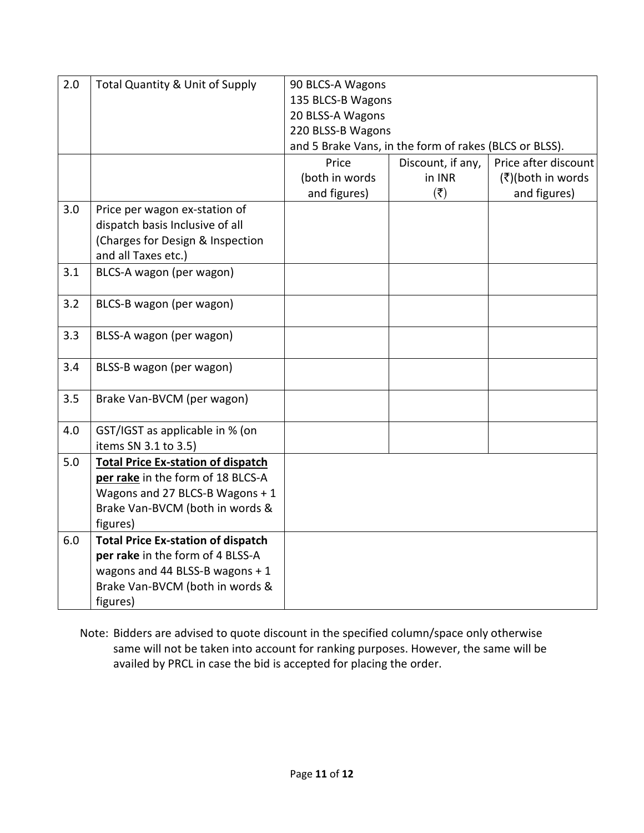| 2.0 | <b>Total Quantity &amp; Unit of Supply</b> | 90 BLCS-A Wagons                                       |                           |                      |  |  |
|-----|--------------------------------------------|--------------------------------------------------------|---------------------------|----------------------|--|--|
|     |                                            | 135 BLCS-B Wagons                                      |                           |                      |  |  |
|     |                                            | 20 BLSS-A Wagons                                       |                           |                      |  |  |
|     |                                            | 220 BLSS-B Wagons                                      |                           |                      |  |  |
|     |                                            | and 5 Brake Vans, in the form of rakes (BLCS or BLSS). |                           |                      |  |  |
|     |                                            | Price                                                  | Discount, if any,         | Price after discount |  |  |
|     |                                            | (both in words                                         | in INR                    | (₹)(both in words    |  |  |
|     |                                            | and figures)                                           | $(\overline{\mathbf{z}})$ | and figures)         |  |  |
| 3.0 | Price per wagon ex-station of              |                                                        |                           |                      |  |  |
|     | dispatch basis Inclusive of all            |                                                        |                           |                      |  |  |
|     | (Charges for Design & Inspection           |                                                        |                           |                      |  |  |
|     | and all Taxes etc.)                        |                                                        |                           |                      |  |  |
| 3.1 | BLCS-A wagon (per wagon)                   |                                                        |                           |                      |  |  |
|     |                                            |                                                        |                           |                      |  |  |
| 3.2 | BLCS-B wagon (per wagon)                   |                                                        |                           |                      |  |  |
| 3.3 | BLSS-A wagon (per wagon)                   |                                                        |                           |                      |  |  |
|     |                                            |                                                        |                           |                      |  |  |
| 3.4 | BLSS-B wagon (per wagon)                   |                                                        |                           |                      |  |  |
| 3.5 |                                            |                                                        |                           |                      |  |  |
|     | Brake Van-BVCM (per wagon)                 |                                                        |                           |                      |  |  |
| 4.0 | GST/IGST as applicable in % (on            |                                                        |                           |                      |  |  |
|     | items SN 3.1 to 3.5)                       |                                                        |                           |                      |  |  |
| 5.0 | <b>Total Price Ex-station of dispatch</b>  |                                                        |                           |                      |  |  |
|     | per rake in the form of 18 BLCS-A          |                                                        |                           |                      |  |  |
|     | Wagons and 27 BLCS-B Wagons + 1            |                                                        |                           |                      |  |  |
|     | Brake Van-BVCM (both in words &            |                                                        |                           |                      |  |  |
|     | figures)                                   |                                                        |                           |                      |  |  |
| 6.0 | <b>Total Price Ex-station of dispatch</b>  |                                                        |                           |                      |  |  |
|     | per rake in the form of 4 BLSS-A           |                                                        |                           |                      |  |  |
|     | wagons and 44 BLSS-B wagons + 1            |                                                        |                           |                      |  |  |
|     | Brake Van-BVCM (both in words &            |                                                        |                           |                      |  |  |
|     | figures)                                   |                                                        |                           |                      |  |  |

Note: Bidders are advised to quote discount in the specified column/space only otherwise same will not be taken into account for ranking purposes. However, the same will be availed by PRCL in case the bid is accepted for placing the order.